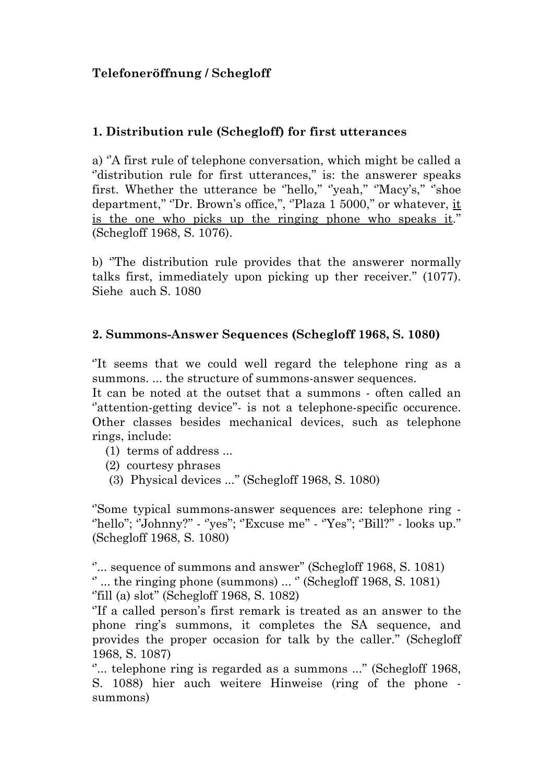## **Telefoneröffnung / Schegloff**

## **1. Distribution rule (Schegloff) for first utterances**

a) ''A first rule of telephone conversation, which might be called a "distribution rule for first utterances," is: the answerer speaks first. Whether the utterance be "hello," "yeah," "Macy's," "shoe department," "Dr. Brown's office,", "Plaza 1 5000," or whatever, it is the one who picks up the ringing phone who speaks it.'' (Schegloff 1968, S. 1076).

b) ''The distribution rule provides that the answerer normally talks first, immediately upon picking up ther receiver.'' (1077). Siehe auch S. 1080

## **2. Summons-Answer Sequences (Schegloff 1968, S. 1080)**

''It seems that we could well regard the telephone ring as a summons. ... the structure of summons-answer sequences.

It can be noted at the outset that a summons - often called an "attention-getting device"- is not a telephone-specific occurence. Other classes besides mechanical devices, such as telephone rings, include:

- (1) terms of address ...
- (2) courtesy phrases
- (3) Physical devices ...'' (Schegloff 1968, S. 1080)

''Some typical summons-answer sequences are: telephone ring - "hello"; "Johnny?" - "yes"; "Excuse me" - "Yes"; "Bill?" - looks up." (Schegloff 1968, S. 1080)

"... sequence of summons and answer" (Schegloff 1968, S. 1081)  $\degree$  ... the ringing phone (summons) ...  $\degree$  (Schegloff 1968, S. 1081) ''fill (a) slot'' (Schegloff 1968, S. 1082)

''If a called person's first remark is treated as an answer to the phone ring's summons, it completes the SA sequence, and provides the proper occasion for talk by the caller.'' (Schegloff 1968, S. 1087)

"... telephone ring is regarded as a summons ..." (Schegloff 1968, S. 1088) hier auch weitere Hinweise (ring of the phone summons)